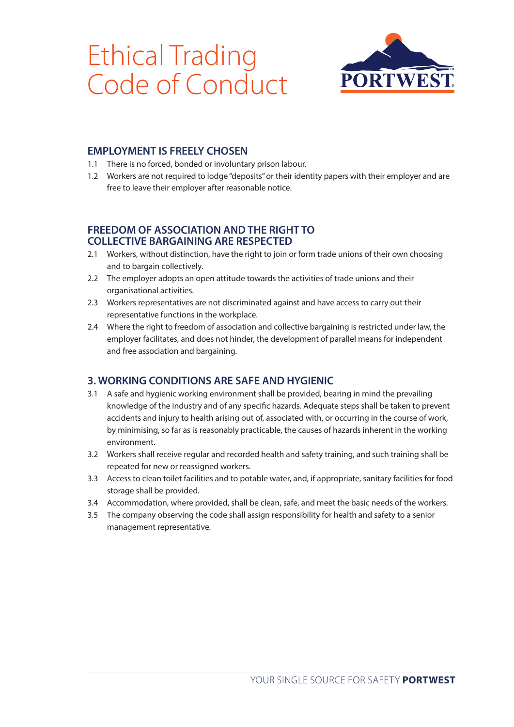# Ethical Trading Code of Conduct



## **EMPLOYMENT IS FREELY CHOSEN**

- 1.1 There is no forced, bonded or involuntary prison labour.
- 1.2 Workers are not required to lodge "deposits" or their identity papers with their employer and are free to leave their employer after reasonable notice.

#### **FREEDOM OF ASSOCIATION AND THE RIGHT TO COLLECTIVE BARGAINING ARE RESPECTED**

- 2.1 Workers, without distinction, have the right to join or form trade unions of their own choosing and to bargain collectively.
- 2.2 The employer adopts an open attitude towards the activities of trade unions and their organisational activities.
- 2.3 Workers representatives are not discriminated against and have access to carry out their representative functions in the workplace.
- 2.4 Where the right to freedom of association and collective bargaining is restricted under law, the employer facilitates, and does not hinder, the development of parallel means for independent and free association and bargaining.

## **3. WORKING CONDITIONS ARE SAFE AND HYGIENIC**

- 3.1 A safe and hygienic working environment shall be provided, bearing in mind the prevailing knowledge of the industry and of any specific hazards. Adequate steps shall be taken to prevent accidents and injury to health arising out of, associated with, or occurring in the course of work, by minimising, so far as is reasonably practicable, the causes of hazards inherent in the working environment.
- 3.2 Workers shall receive regular and recorded health and safety training, and such training shall be repeated for new or reassigned workers.
- 3.3 Access to clean toilet facilities and to potable water, and, if appropriate, sanitary facilities for food storage shall be provided.
- 3.4 Accommodation, where provided, shall be clean, safe, and meet the basic needs of the workers.
- 3.5 The company observing the code shall assign responsibility for health and safety to a senior management representative.